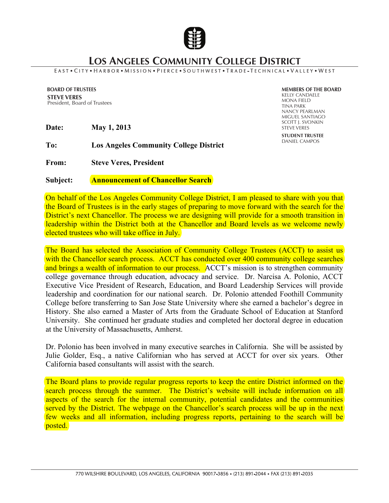

## **LOS ANGELES COMMUNITY COLLEGE DISTRICT**

## EAST . CITY . HARBOR . MISSION . PIERCE . SOUTHWEST . TRADE - TECHNICAL . VALLEY . WEST

**BOARD OF TRUSTEES STEVE VERES** President, Board of Trustees

**Date: May 1, 2013**

**To: Los Angeles Community College District**

**From: Steve Veres, President**

**Subject: Announcement of Chancellor Search**

**MEMBERS OF THE BOARD** KELLY CANDAELE MONA FIELD TINA PARK NANCY PEARLMAN MIGUEL SANTIAGO SCOTT J. SVONKIN STEVE VERES **STUDENT TRUSTEE** DANIEL CAMPOS

On behalf of the Los Angeles Community College District, I am pleased to share with you that the Board of Trustees is in the early stages of preparing to move forward with the search for the District's next Chancellor. The process we are designing will provide for a smooth transition in leadership within the District both at the Chancellor and Board levels as we welcome newly elected trustees who will take office in July.

The Board has selected the Association of Community College Trustees (ACCT) to assist us with the Chancellor search process. ACCT has conducted over 400 community college searches and brings a wealth of information to our process. ACCT's mission is to strengthen community college governance through education, advocacy and service. Dr. Narcisa A. Polonio, ACCT Executive Vice President of Research, Education, and Board Leadership Services will provide leadership and coordination for our national search. Dr. Polonio attended Foothill Community College before transferring to San Jose State University where she earned a bachelor's degree in History. She also earned a Master of Arts from the Graduate School of Education at Stanford University. She continued her graduate studies and completed her doctoral degree in education at the University of Massachusetts, Amherst.

Dr. Polonio has been involved in many executive searches in California. She will be assisted by Julie Golder, Esq., a native Californian who has served at ACCT for over six years. Other California based consultants will assist with the search.

The Board plans to provide regular progress reports to keep the entire District informed on the search process through the summer. The District's website will include information on all aspects of the search for the internal community, potential candidates and the communities served by the District. The webpage on the Chancellor's search process will be up in the next few weeks and all information, including progress reports, pertaining to the search will be posted.